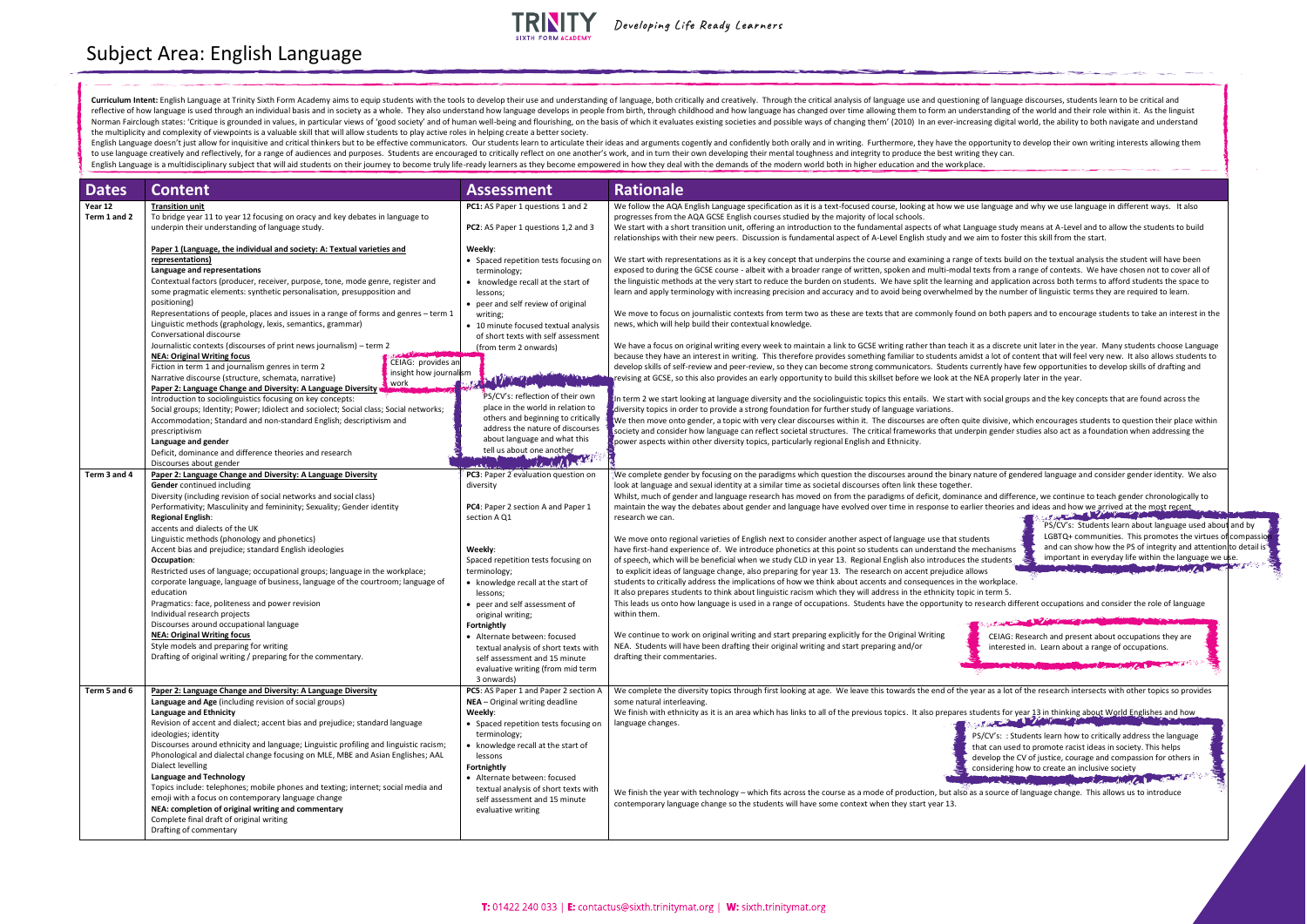| <b>Dates</b>            | <b>Content</b>                                                                                                                                                                                                                                                                                                                                                                                                                                                                                                                                                                                                                                                                                                                                                                                                                                                                                   | <b>Assessment</b>                                                                                                                                                                                                                                                                                                                                                                                                                                                  | <b>Rationale</b>                                                                                                                                                                                                                                                                                                                                                                                                                                                                                                                                                                                                                                                                                                                                                                                                                                                                                                                                                                                                                                                                                                                                                                                                                                                                                                                                                                                                                                                                                                                                                                                                                                                                                                                                                                                                                                                                                                                                                                                                                                                                                                                                                                                                                                                                                                                       |
|-------------------------|--------------------------------------------------------------------------------------------------------------------------------------------------------------------------------------------------------------------------------------------------------------------------------------------------------------------------------------------------------------------------------------------------------------------------------------------------------------------------------------------------------------------------------------------------------------------------------------------------------------------------------------------------------------------------------------------------------------------------------------------------------------------------------------------------------------------------------------------------------------------------------------------------|--------------------------------------------------------------------------------------------------------------------------------------------------------------------------------------------------------------------------------------------------------------------------------------------------------------------------------------------------------------------------------------------------------------------------------------------------------------------|----------------------------------------------------------------------------------------------------------------------------------------------------------------------------------------------------------------------------------------------------------------------------------------------------------------------------------------------------------------------------------------------------------------------------------------------------------------------------------------------------------------------------------------------------------------------------------------------------------------------------------------------------------------------------------------------------------------------------------------------------------------------------------------------------------------------------------------------------------------------------------------------------------------------------------------------------------------------------------------------------------------------------------------------------------------------------------------------------------------------------------------------------------------------------------------------------------------------------------------------------------------------------------------------------------------------------------------------------------------------------------------------------------------------------------------------------------------------------------------------------------------------------------------------------------------------------------------------------------------------------------------------------------------------------------------------------------------------------------------------------------------------------------------------------------------------------------------------------------------------------------------------------------------------------------------------------------------------------------------------------------------------------------------------------------------------------------------------------------------------------------------------------------------------------------------------------------------------------------------------------------------------------------------------------------------------------------------|
| Year 12<br>Term 1 and 2 | <b>Transition unit</b><br>To bridge year 11 to year 12 focusing on oracy and key debates in language to<br>underpin their understanding of language study.                                                                                                                                                                                                                                                                                                                                                                                                                                                                                                                                                                                                                                                                                                                                       | <b>PC1:</b> AS Paper 1 questions 1 and 2<br><b>PC2</b> : AS Paper 1 questions 1,2 and 3                                                                                                                                                                                                                                                                                                                                                                            | We follow the AQA English Language specification as it is a text-focused course, looking at how we use language and why we use language in different ways. It also<br>progresses from the AQA GCSE English courses studied by the majority of local schools.<br>We start with a short transition unit, offering an introduction to the fundamental aspects of what Language study means at A-Level and to allow the students to build<br>relationships with their new peers. Discussion is fundamental aspect of A-Level English study and we aim to foster this skill from the start.                                                                                                                                                                                                                                                                                                                                                                                                                                                                                                                                                                                                                                                                                                                                                                                                                                                                                                                                                                                                                                                                                                                                                                                                                                                                                                                                                                                                                                                                                                                                                                                                                                                                                                                                                 |
|                         | Paper 1 (Language, the individual and society: A: Textual varieties and<br>representations)<br>Language and representations<br>Contextual factors (producer, receiver, purpose, tone, mode genre, register and<br>some pragmatic elements: synthetic personalisation, presupposition and<br>positioning)<br>Representations of people, places and issues in a range of forms and genres - term 1                                                                                                                                                                                                                                                                                                                                                                                                                                                                                                 | Weekly:<br>• Spaced repetition tests focusing on<br>terminology;<br>• knowledge recall at the start of<br>lessons;<br>• peer and self review of original<br>writing;                                                                                                                                                                                                                                                                                               | We start with representations as it is a key concept that underpins the course and examining a range of texts build on the textual analysis the student will have been<br>exposed to during the GCSE course - albeit with a broader range of written, spoken and multi-modal texts from a range of contexts. We have chosen not to cover all of<br>the linguistic methods at the very start to reduce the burden on students. We have split the learning and application across both terms to afford students the space to<br>learn and apply terminology with increasing precision and accuracy and to avoid being overwhelmed by the number of linguistic terms they are required to learn.<br>We move to focus on journalistic contexts from term two as these are texts that are commonly found on both papers and to encourage students to take an interest in the                                                                                                                                                                                                                                                                                                                                                                                                                                                                                                                                                                                                                                                                                                                                                                                                                                                                                                                                                                                                                                                                                                                                                                                                                                                                                                                                                                                                                                                                |
|                         | Linguistic methods (graphology, lexis, semantics, grammar)<br>Conversational discourse<br>Journalistic contexts (discourses of print news journalism) – term 2<br><b>NEA: Original Writing focus</b><br>CEIAG: provides an<br>Fiction in term 1 and journalism genres in term 2<br>insight how journalism<br>Narrative discourse (structure, schemata, narrative)<br>, work<br>Paper 2: Language Change and Diversity: A Language Diversity                                                                                                                                                                                                                                                                                                                                                                                                                                                      | • 10 minute focused textual analysis<br>of short texts with self assessment<br>(from term 2 onwards)<br><b>Britain March 1988</b>                                                                                                                                                                                                                                                                                                                                  | news, which will help build their contextual knowledge.<br>We have a focus on original writing every week to maintain a link to GCSE writing rather than teach it as a discrete unit later in the year. Many students choose Language<br>because they have an interest in writing. This therefore provides something familiar to students amidst a lot of content that will feel very new. It also allows students to<br>develop skills of self-review and peer-review, so they can become strong communicators. Students currently have few opportunities to develop skills of drafting and<br>revising at GCSE, so this also provides an early opportunity to build this skillset before we look at the NEA properly later in the year.                                                                                                                                                                                                                                                                                                                                                                                                                                                                                                                                                                                                                                                                                                                                                                                                                                                                                                                                                                                                                                                                                                                                                                                                                                                                                                                                                                                                                                                                                                                                                                                              |
|                         | Introduction to sociolinguistics focusing on key concepts:<br>Social groups; Identity; Power; Idiolect and sociolect; Social class; Social networks;<br>Accommodation; Standard and non-standard English; descriptivism and<br>prescriptivism<br>Language and gender<br>Deficit, dominance and difference theories and research<br>Discourses about gender                                                                                                                                                                                                                                                                                                                                                                                                                                                                                                                                       | PS/CV's: reflection of their own<br>place in the world in relation to<br>others and beginning to critically<br>address the nature of discourses<br>about language and what this<br>tell us about one another<br>March 1/2 1 - 12 - 12                                                                                                                                                                                                                              | In term 2 we start looking at language diversity and the sociolinguistic topics this entails. We start with social groups and the key concepts that are found across the<br>diversity topics in order to provide a strong foundation for further study of language variations.<br>We then move onto gender, a topic with very clear discourses within it. The discourses are often quite divisive, which encourages students to question their place within<br>society and consider how language can reflect societal structures. The critical frameworks that underpin gender studies also act as a foundation when addressing the<br>power aspects within other diversity topics, particularly regional English and Ethnicity.                                                                                                                                                                                                                                                                                                                                                                                                                                                                                                                                                                                                                                                                                                                                                                                                                                                                                                                                                                                                                                                                                                                                                                                                                                                                                                                                                                                                                                                                                                                                                                                                       |
| Term 3 and 4            | Paper 2: Language Change and Diversity: A Language Diversity<br>Gender continued including<br>Diversity (including revision of social networks and social class)<br>Performativity; Masculinity and femininity; Sexuality; Gender identity<br><b>Regional English:</b><br>accents and dialects of the UK<br>Linguistic methods (phonology and phonetics)<br>Accent bias and prejudice; standard English ideologies<br>Occupation:<br>Restricted uses of language; occupational groups; language in the workplace;<br>corporate language, language of business, language of the courtroom; language of<br>education<br>Pragmatics: face, politeness and power revision<br>Individual research projects<br>Discourses around occupational language<br><b>NEA: Original Writing focus</b><br>Style models and preparing for writing<br>Drafting of original writing / preparing for the commentary. | PC3: Paper 2 evaluation question on<br>diversity<br>PC4: Paper 2 section A and Paper 1<br>section A Q1<br>Weekly:<br>Spaced repetition tests focusing on<br>terminology;<br>• knowledge recall at the start of<br>lessons;<br>• peer and self assessment of<br>original writing;<br><b>Fortnightly</b><br>• Alternate between: focused<br>textual analysis of short texts with<br>self assessment and 15 minute<br>evaluative writing (from mid term<br>3 onwards) | We complete gender by focusing on the paradigms which question the discourses around the binary nature of gendered language and consider gender identity. We also<br>look at language and sexual identity at a similar time as societal discourses often link these together.<br>Whilst, much of gender and language research has moved on from the paradigms of deficit, dominance and difference, we continue to teach gender chronologically to<br>maintain the way the debates about gender and language have evolved over time in response to earlier theories and ideas and how we arrived at the most recent<br>The Committee of the Committee of the Committee of the Committee of the Committee of the Committee of the Committee of the Committee of the Committee of the Committee of the Committee of the Committee of the Committee of t<br>research we can.<br>PS/CV's: Students learn about language used abo<br>LGBTQ+ communities. This promotes the virtues<br>We move onto regional varieties of English next to consider another aspect of language use that students<br>and can show how the PS of integrity and attentic<br>have first-hand experience of. We introduce phonetics at this point so students can understand the mechanisms<br>important in everyday life within the language we<br>of speech, which will be beneficial when we study CLD in year 13. Regional English also introduces the students<br>to explicit ideas of language change, also preparing for year 13. The research on accent prejudice allows<br>students to critically address the implications of how we think about accents and consequences in the workplace.<br>It also prepares students to think about linguistic racism which they will address in the ethnicity topic in term 5.<br>This leads us onto how language is used in a range of occupations. Students have the opportunity to research different occupations and consider the role of language<br>within them.<br>We continue to work on original writing and start preparing explicitly for the Original Writing<br>CEIAG: Research and present about occupations they are<br>NEA. Students will have been drafting their original writing and start preparing and/or<br>interested in. Learn about a range of occupations.<br>drafting their commentaries. |
| Term 5 and 6            | Paper 2: Language Change and Diversity: A Language Diversity<br>Language and Age (including revision of social groups)<br>Language and Ethnicity<br>Revision of accent and dialect; accent bias and prejudice; standard language<br>ideologies; identity<br>Discourses around ethnicity and language; Linguistic profiling and linguistic racism;<br>Phonological and dialectal change focusing on MLE, MBE and Asian Englishes; AAL<br>Dialect levelling<br><b>Language and Technology</b><br>Topics include: telephones; mobile phones and texting; internet; social media and<br>emoji with a focus on contemporary language change<br>NEA: completion of original writing and commentary<br>Complete final draft of original writing<br>Drafting of commentary                                                                                                                               | PC5: AS Paper 1 and Paper 2 section A<br>NEA - Original writing deadline<br>Weekly:<br>• Spaced repetition tests focusing on<br>terminology;<br>• knowledge recall at the start of<br>lessons<br>Fortnightly<br>• Alternate between: focused<br>textual analysis of short texts with<br>self assessment and 15 minute<br>evaluative writing                                                                                                                        | We complete the diversity topics through first looking at age. We leave this towards the end of the year as a lot of the research intersects with other topics so provides<br>some natural interleaving.<br>We finish with ethnicity as it is an area which has links to all of the previous topics. It also prepares students for year 13 in thinking about World Englishes and how<br>The Committee of the Committee of the Committee of the Committee of the Committee of the Committee of the Committee of the Committee of the Committee of the Committee of the Committee of the Committee of the Committee of t<br>language changes.<br>PS/CV's: : Students learn how to critically address the language<br>that can used to promote racist ideas in society. This helps<br>develop the CV of justice, courage and compassion for others in<br>considering how to create an inclusive society<br><b>COMMANDATION</b><br>We finish the year with technology - which fits across the course as a mode of production, but also as a source of language change. This allows us to introduce<br>contemporary language change so the students will have some context when they start year 13.                                                                                                                                                                                                                                                                                                                                                                                                                                                                                                                                                                                                                                                                                                                                                                                                                                                                                                                                                                                                                                                                                                                                         |

## Subject Area: English Language



**TRINITY** 

Developing Life Ready Learners

English Language doesn't just allow for inquisitive and critical thinkers but to be effective communicators. Our students learn to articulate their ideas and arguments cogently and confidently both orally and in writing. F to use language creatively and reflectively, for a range of audiences and purposes. Students are encouraged to critically reflect on one another's work, and in turn their own developing their mental toughness and integrity English Language is a multidisciplinary subject that will aid students on their journey to become truly life-ready learners as they become empowered in how they deal with the demands of the modern world both in higher educ

| ng of language discourses, students learn to be critical and<br>erstanding of the world and their role within it. As the linguist<br>easing digital world, the ability to both navigate and understand                                                                                                                            |  |
|-----------------------------------------------------------------------------------------------------------------------------------------------------------------------------------------------------------------------------------------------------------------------------------------------------------------------------------|--|
| pportunity to develop their own writing interests allowing them<br>ng they can.<br>асе.                                                                                                                                                                                                                                           |  |
|                                                                                                                                                                                                                                                                                                                                   |  |
|                                                                                                                                                                                                                                                                                                                                   |  |
| se language and why we use language in different ways. It also                                                                                                                                                                                                                                                                    |  |
| nguage study means at A-Level and to allow the students to build<br>e aim to foster this skill from the start.                                                                                                                                                                                                                    |  |
| of texts build on the textual analysis the student will have been<br>texts from a range of contexts. We have chosen not to cover all of<br>and application across both terms to afford students the space to<br>by the number of linguistic terms they are required to learn.                                                     |  |
| d on both papers and to encourage students to take an interest in the                                                                                                                                                                                                                                                             |  |
| t as a discrete unit later in the year. Many students choose Language<br>dst a lot of content that will feel very new. It also allows students to<br>currently have few opportunities to develop skills of drafting and<br>NEA properly later in the year.                                                                        |  |
| ith social groups and the key concepts that are found across the                                                                                                                                                                                                                                                                  |  |
| ite divisive, which encourages students to question their place within<br>rpin gender studies also act as a foundation when addressing the                                                                                                                                                                                        |  |
|                                                                                                                                                                                                                                                                                                                                   |  |
| nature of gendered language and consider gender identity. We also                                                                                                                                                                                                                                                                 |  |
| ice and difference, we continue to teach gender chronologically to<br>lier theories and ideas and how we arrived at the most recent                                                                                                                                                                                               |  |
| STATISTICS OF THE STATISTICS<br>PS/CV's: Students learn about language used about and by<br>LGBTQ+ communities. This promotes the virtues of compassion<br>dents<br>and can show how the PS of integrity and attention to detail is<br>mechanisms<br>important in everyday life within the language we use.<br>e students<br>lows |  |
| e workplace.<br>c in term 5.                                                                                                                                                                                                                                                                                                      |  |
| research different occupations and consider the role of language                                                                                                                                                                                                                                                                  |  |
| CEIAG: Research and present about occupations they are<br>interested in. Learn about a range of occupations.                                                                                                                                                                                                                      |  |
| ear as a lot of the research intersects with other topics so provides                                                                                                                                                                                                                                                             |  |
|                                                                                                                                                                                                                                                                                                                                   |  |
| tudents for year 13 in thinking about World Englishes and how<br><b>STORE CARD</b>                                                                                                                                                                                                                                                |  |
| PS/CV's:: Students learn how to critically address the language<br>that can used to promote racist ideas in society. This helps<br>develop the CV of justice, courage and compassion for others in<br>considering how to create an inclusive society<br>Augar                                                                     |  |
| is a source of language change. This allows us to introduce                                                                                                                                                                                                                                                                       |  |
|                                                                                                                                                                                                                                                                                                                                   |  |
|                                                                                                                                                                                                                                                                                                                                   |  |